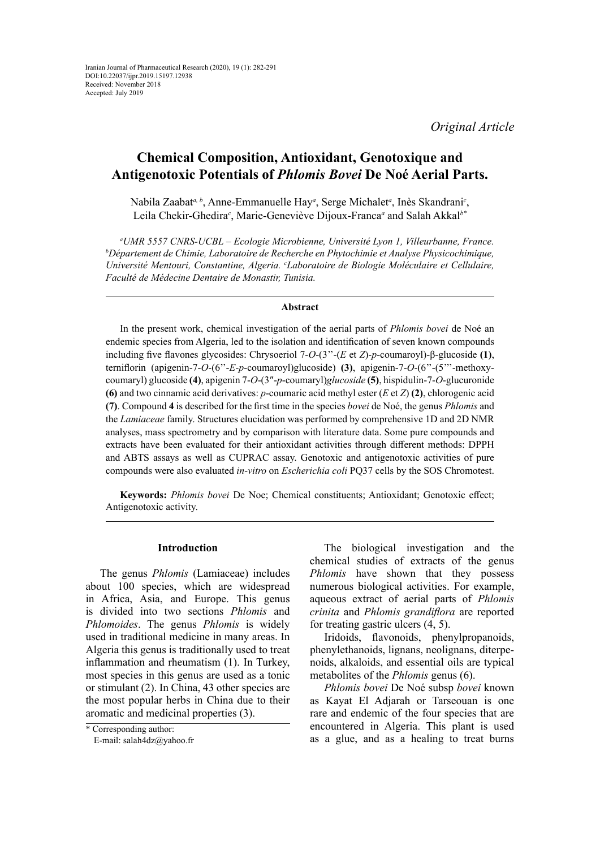*Original Article*

# **Chemical Composition, Antioxidant, Genotoxique and Antigenotoxic Potentials of** *Phlomis Bovei* **De Noé Aerial Parts.**

Nabila Zaabat*a, b*, Anne-Emmanuelle Hay*<sup>a</sup>* , Serge Michalet*<sup>a</sup>* , Inès Skandrani*<sup>c</sup>* , Leila Chekir-Ghedira*<sup>c</sup>* , Marie-Geneviève Dijoux-Franca*<sup>a</sup>* and Salah Akkal*b\**

*a UMR 5557 CNRS-UCBL – Ecologie Microbienne, Université Lyon 1, Villeurbanne, France. b Département de Chimie, Laboratoire de Recherche en Phytochimie et Analyse Physicochimique, Université Mentouri, Constantine, Algeria. c Laboratoire de Biologie Moléculaire et Cellulaire, Faculté de Médecine Dentaire de Monastir, Tunisia.*

## **Abstract**

In the present work, chemical investigation of the aerial parts of *Phlomis bovei* de Noé an endemic species from Algeria, led to the isolation and identification of seven known compounds including five flavones glycosides: Chrysoeriol 7-*O*-(3''-(*E* et *Z*)-*p*-coumaroyl)-β-glucoside **(1)**, terniflorin (apigenin-7-*O*-(6''-*E-p*-coumaroyl)glucoside) **(3)**, apigenin-7-*O*-(6''-(5'''-methoxycoumaryl) glucoside **(4)**, apigenin 7-*O*-(3″-*p*-coumaryl)*glucoside* **(5)**, hispidulin-7-*O*-glucuronide **(6)** and two cinnamic acid derivatives: *p*-coumaric acid methyl ester (*E* et *Z*) **(2)**, chlorogenic acid **(7)**. Compound **4** is described for the first time in the species *bovei* de Noé, the genus *Phlomis* and the *Lamiaceae* family. Structures elucidation was performed by comprehensive 1D and 2D NMR analyses, mass spectrometry and by comparison with literature data. Some pure compounds and extracts have been evaluated for their antioxidant activities through different methods: DPPH and ABTS assays as well as CUPRAC assay. Genotoxic and antigenotoxic activities of pure compounds were also evaluated *in-vitro* on *Escherichia coli* PQ37 cells by the SOS Chromotest.

**Keywords:** *Phlomis bovei* De Noe; Chemical constituents; Antioxidant; Genotoxic effect; Antigenotoxic activity.

## **Introduction**

The genus *Phlomis* (Lamiaceae) includes about 100 species, which are widespread in Africa, Asia, and Europe. This genus is divided into two sections *Phlomis* and *Phlomoides*. The genus *Phlomis* is widely used in traditional medicine in many areas. In Algeria this genus is traditionally used to treat inflammation and rheumatism (1). In Turkey, most species in this genus are used as a tonic or stimulant (2). In China, 43 other species are the most popular herbs in China due to their aromatic and medicinal properties [\(3\)](http://www.refdoc.fr/?traduire=en&FormRechercher=submit&FormRechercher_Txt_Recherche_name_attr=auteursNom: %28YUAN ZHANG%29).

The biological investigation and the chemical studies of extracts of the genus *Phlomis* have shown that they possess numerous biological activities. For example, aqueous extract of aerial parts of *Phlomis crinita* and *Phlomis grandiflora* are reported for treating gastric ulcers (4, 5).

Iridoids, flavonoids, phenylpropanoids, phenylethanoids, lignans, neolignans, diterpenoids, alkaloids, and essential oils are typical metabolites of the *Phlomis* genus (6).

*Phlomis bovei* De Noé subsp *bovei* known as Kayat El Adjarah or Tarseouan is one rare and endemic of the four species that are encountered in Algeria. This plant is used as a glue, and as a healing to treat burns

<sup>\*</sup> Corresponding author:

E-mail: salah4dz@yahoo.fr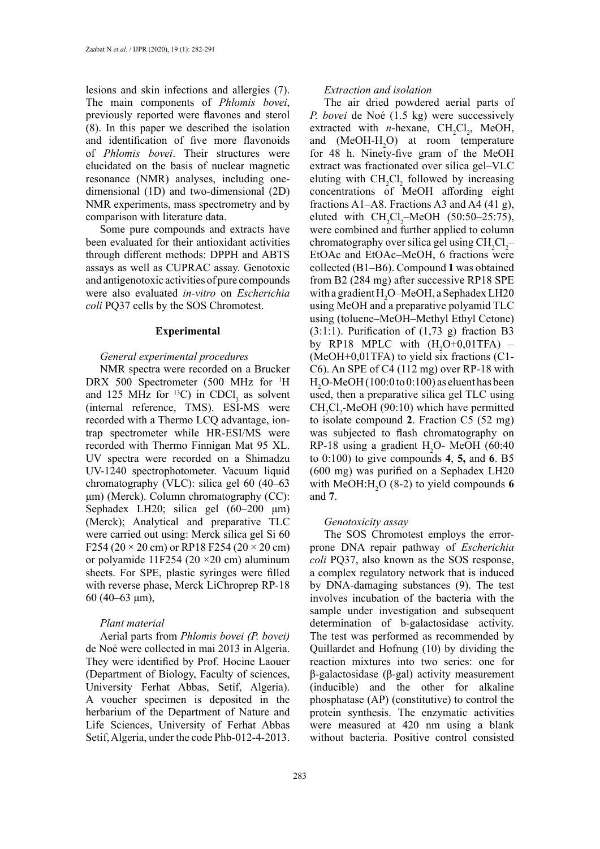lesions and skin infections and allergies (7). The main components of *Phlomis bovei*, previously reported were flavones and sterol (8). In this paper we described the isolation and identification of five more flavonoids of *Phlomis bovei*. Their structures were elucidated on the basis of nuclear magnetic resonance (NMR) analyses, including onedimensional (1D) and two-dimensional (2D) NMR experiments, mass spectrometry and by comparison with literature data.

Some pure compounds and extracts have been evaluated for their antioxidant activities through different methods: DPPH and ABTS assays as well as CUPRAC assay. Genotoxic and antigenotoxic activities of pure compounds were also evaluated *in-vitro* on *Escherichia coli* PQ37 cells by the SOS Chromotest.

### **Experimental**

### *General experimental procedures*

NMR spectra were recorded on a Brucker DRX 500 Spectrometer (500 MHz for <sup>1</sup>H and 125 MHz for  $^{13}C$ ) in CDCl<sub>3</sub> as solvent (internal reference, TMS). ESI-MS were recorded with a Thermo LCQ advantage, iontrap spectrometer while HR-ESI/MS were recorded with Thermo Finnigan Mat 95 XL. UV spectra were recorded on a Shimadzu UV-1240 spectrophotometer. Vacuum liquid chromatography (VLC): silica gel 60 (40–63 μm) (Merck). Column chromatography (CC): Sephadex LH20; silica gel (60–200 μm) (Merck); Analytical and preparative TLC were carried out using: Merck silica gel Si 60 F254 (20  $\times$  20 cm) or RP18 F254 (20  $\times$  20 cm) or polyamide 11F254 (20  $\times$ 20 cm) aluminum sheets. For SPE, plastic syringes were filled with reverse phase, Merck LiChroprep RP-18 60 (40–63 μm),

## *Plant material*

Aerial parts from *Phlomis bovei (P. bovei)*  de Noé were collected in mai 2013 in Algeria. They were identified by Prof. Hocine Laouer (Department of Biology, Faculty of sciences, University Ferhat Abbas, Setif, Algeria). A voucher specimen is deposited in the herbarium of the Department of Nature and Life Sciences, University of Ferhat Abbas Setif, Algeria, under the code Phb-012-4-2013.

## *Extraction and isolation*

The air dried powdered aerial parts of *P. bovei* de Noé (1.5 kg) were successively extracted with *n*-hexane,  $CH_2Cl_2$ , MeOH, and  $(MeOH-H<sub>2</sub>O)$  at room temperature for 48 h. Ninety-five gram of the MeOH extract was fractionated over silica gel–VLC eluting with  $CH_2Cl_2$  followed by increasing concentrations of MeOH affording eight fractions A1–A8. Fractions A3 and A4 (41 g), eluted with  $CH_2Cl_2$ -MeOH (50:50–25:75), were combined and further applied to column chromatography over silica gel using  $CH_2Cl_2$ -EtOAc and EtOAc–MeOH, 6 fractions were collected (B1–B6). Compound **1** was obtained from B2 (284 mg) after successive RP18 SPE with a gradient  $\text{H}_{2}\text{O}-\text{MeOH}$ , a Sephadex LH20 using MeOH and a preparative polyamid TLC using (toluene–MeOH–Methyl Ethyl Cetone) (3:1:1). Purification of  $(1,73 \text{ g})$  fraction B3 by RP18 MPLC with  $(H<sub>2</sub>O+0,01TFA)$  – (MeOH+0,01TFA) to yield six fractions (C1- C6). An SPE of C4 (112 mg) over RP-18 with  $H<sub>2</sub>$ O-MeOH (100:0 to 0:100) as eluent has been used, then a preparative silica gel TLC using  $CH_2Cl_2$ -MeOH (90:10) which have permitted to isolate compound **2**. Fraction C5 (52 mg) was subjected to flash chromatography on RP-18 using a gradient  $H_2O$ - MeOH (60:40) to 0:100) to give compounds **4**, **5,** and **6**. B5 (600 mg) was purified on a Sephadex LH20 with  $MeOH:H_2O(8-2)$  to yield compounds 6 and **7**.

### *Genotoxicity assay*

The SOS Chromotest employs the errorprone DNA repair pathway of *Escherichia coli* PQ37, also known as the SOS response, a complex regulatory network that is induced by DNA-damaging substances (9). The test involves incubation of the bacteria with the sample under investigation and subsequent determination of b-galactosidase activity. The test was performed as recommended by Quillardet and Hofnung (10) by dividing the reaction mixtures into two series: one for β-galactosidase (β-gal) activity measurement (inducible) and the other for alkaline phosphatase (AP) (constitutive) to control the protein synthesis. The enzymatic activities were measured at 420 nm using a blank without bacteria. Positive control consisted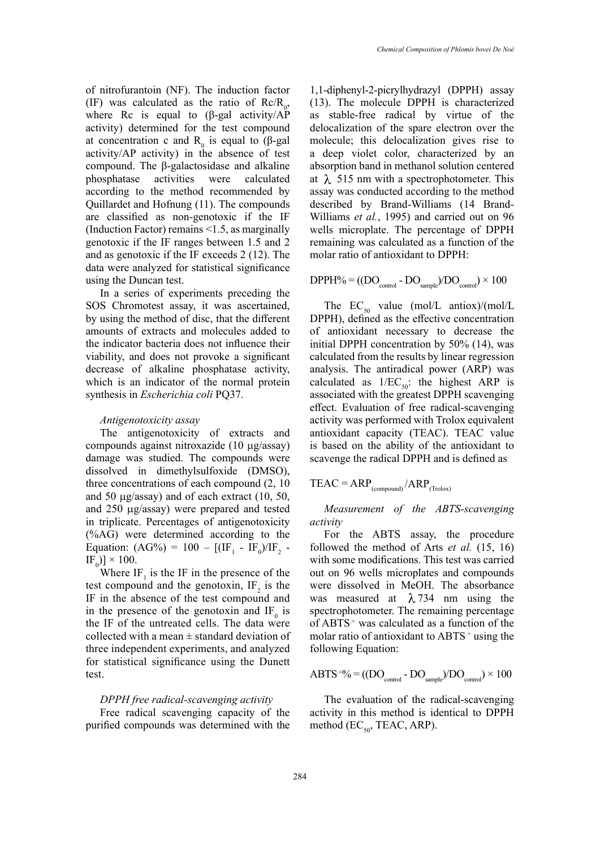of nitrofurantoin (NF). The induction factor (IF) was calculated as the ratio of  $Re/R_0$ , where Rc is equal to  $(\beta$ -gal activity/AP activity) determined for the test compound delocalization of the spare radical by virtue of the spare radical by virtue of the spare radical by virtue of the spare radical by virtue of the spare radical by virtue of the sp at concentration c and  $R_0$  is equal to (β-gal activity/ $AP$  activity) in the absence of test a deep violet compound. The β-galactosidase and alkaline phosphatase activities were calculated according to the method recommended by Quillardet and Hofnung (11). The compounds described by 1 are classified as non-genotoxic if the IF (Induction Factor) remains <1.5, as marginally wells microplate genotoxic if the IF ranges between 1.5 and 2 and as genotoxic if the IF exceeds 2 (12). The molar ratio of an data were analyzed for statistical significance function of the mary given for state phosphatase activities were calculated at  $\lambda$  515 nm with a spectrophotometer. This

In a series of experiments preceding the In a series of experiments preceding the<br>SOS Chromotest assay, it was ascertained, by using the method of disc, that the different by using the method of disc, that the different the ECFFH), defined amounts of extracts and molecules added to of antioxidant the indicator bacteria does not influence their initial DPPH concentration of does not proved a significant colorated from viability, and does not provoke a significant decrease of alkaline phosphatase activity, analysis. The a which is an indicator of the normal protein synthesis in *Escherichia coli* PQ37. associated with the highest ARP is associated with the highest ARP is associated with the highest ARP is associated with the highest ARP is associated with the highest ARP is associate

The antigenotoxicity of extracts and compounds against nitroxazide (10  $\mu$ g/assay) is based on the damage was studied. The compounds were dissolved in dimethylsulfoxide (DMSO), three concentrations of each compound (2, 10 and 50  $\mu$ g/assay) and of each extract (10, 50, and 250 mg/assay) were prepared and tested in triplicate. Percentages of antigenotoxicity  $(\%AG)$  were determined according to the  $F_{\text{emotion}}(AG)/T_{\text{em}} = 100$ Equation:  $(AG\%) = 100 - [(IF_1 - IF_0)/IF_2 -$  followed the method of Arts *et a*  $[F_0] \times 100.$  $F_0$  $\times$  100. with some modif

Where  $IF_1$  is the IF in the presence of the out on 96 wells microplates and c test compound and the genotoxin,  $IF_2$  is the were dissolved IF in the absence of the test compound and was measured at  $\lambda$  734 nm in the presence of the genotoxin and  $IF_0$  is spectrophotomet the IF of the untreated cells. The data were of  $ABTS<sup>+</sup>$  was calculated as a func collected with a mean  $\pm$  standard deviation of molar ratio of an three independent experiments, and analyzed following Equation: for statistical significance using the Dunett test. test.  $\epsilon^{\text{S}}$  we have  $\epsilon^{\text{S}}$  as  $\text{ABTS}^{+0}\% = ((\text{DO}_{\text{control}} - \text{DO}_{\text{control}})/\text{DO}_{\text{S}})$ 

# DPPH free radical-scavenging activity

 $E_1$  Frighter radical scavenging activity Free radical scavenging capacity of the purified compounds was determined with the partical compounds was determined with the  $\arctan(\text{LC}_{50})$ .

1,1-diphenyl-2-picrylhydrazyl (DPPH) assay (13). The molecule DPPH is characterized as stable-free radical by virtue of the delocalization of the spare electron over the molecule; this delocalization gives rise to a deep violet color, characterized by an absorption band in methanol solution centered assay was conducted according to the method described by Brand-Williams (14 Brand-Williams *et al.*, 1995) and carried out on 96 wells microplate. The percentage of DPPH remaining was calculated as a function of the molar ratio of antioxidant to DPPH:

$$
DPPH\% = ((DO_{control} - DO_{sample})/DO_{control}) \times 100
$$

*Antigenotoxicity assay* activity was perf The  $EC_{50}$  value (mol/L antiox)/(mol/L DPPH), defined as the effective concentration of antioxidant necessary to decrease the initial DPPH concentration by 50% (14), was calculated from the results by linear regression analysis. The antiradical power (ARP) was calculated as  $1/EC_{50}$ : the highest ARP is associated with the greatest DPPH scavenging effect. Evaluation of free radical-scavenging activity was performed with Trolox equivalent antioxidant capacity (TEAC). TEAC value is based on the ability of the antioxidant to scavenge the radical DPPH and is defined as

$$
TEAC = ARP_{(compound)} / ARP_{(Trolox)}
$$

*Measurement of the ABTS-scavenging activity*

For the ABTS assay, the procedure followed the method of Arts *et al.* (15, 16) with some modifications. This test was carried out on 96 wells microplates and compounds were dissolved in MeOH. The absorbance was measured at  $\lambda$  734 nm using the spectrophotometer. The remaining percentage of ABTS<sup>+</sup> was calculated as a function of the molar ratio of antioxidant to  $ABTS^+$  using the following Equation:

$$
ABTS^{+0/0} = ((DO_{control} - DO_{sample})/DO_{control}) \times 100
$$

The evaluation of the radical-scavenging activity in this method is identical to DPPH method ( $EC_{50}$ , TEAC, ARP).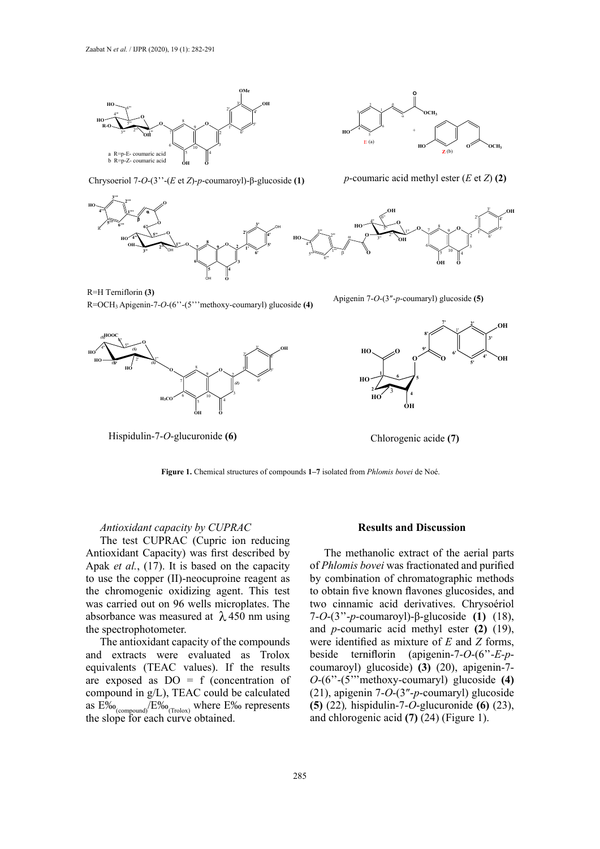

Chrysoeriol 7-*O*-(3<sup>3</sup> · (*E* et *Z*)-*p*-coumaroyl)-β-glucoside (1) *p*-coumaric acid methyl ester (*E* et *Z*) (2)





*p*-coumaric acid methyl ester  $(E \text{ et } Z)$  (2)



**6"** R=H Terniflorin **(3)**  $\mathbf{F} = \text{H} \text{ Terniflorin (3)}$ 

Apigenin-7- $O$ - $(6$ "- $(5)$ " met **2' 4' 4" 5"** R=OCH3 Apigenin-7-*O*-(6''-(5'''methoxy-coumaryl) glucoside **(4)** Apigenin 7-*O*-(3″-*p*-coumaryl) glucoside **(5)**



Hispidulin-7-*O*-glucuronide **(6)** -7-*Chlorogenic acide* (7)

 $\frac{Aplg}{m}$ Apigenin 7-O-(3"-p-coumaryl) glucoside



**2**  $\frac{1}{2}$ 

**8' Figure 1.** Chemical structures of compounds **1–7** isolated from *Phlomis bovei* de Noé.

Hispidulin Chlorogenic acide **(7) Figure 1.** Chemical structures of compounds -7-*O*-glucuronide **(6) 1–7** isolated from *Phlomis bovei* de Noé.

## Antioxidant capacity by CUPRAC

The test CUPRAC (Cupric ion reducing Antioxidant Capacity) was first described by Apak *et al.*, (17). It is based on the capacity of *Phlomis bovei* was fractional to use the copper (II)-neocuproine reagent as the chromogenic oxidizing agent. This test was carried out on 96 wells microplates. The two cinnamic acid derivatives. C absorbance was measured at  $\lambda$ 450 nm using the spectrophotometer.

The antioxidant capacity of the compounds equivalents (TEAC values). If the results  $\frac{m}{p}$  compound in g/L), TEAC could be calculated  $\frac{dS}{dt}$  the molecular ratio of  $\frac{dS}{dt}$ and extracts were evaluated as Trolox are exposed as  $DO = f$  (concentration of as  $E\%$ <sub>(compound)</sub>/ $E\%$ <sub>0(Trolox)</sub> where  $E\%$  represents the slope for each curve obtained.

## $Results$  and Discussion

The methanolic extract of the aerial parts of *Phlomis bovei* was fractionated and purified by combination of chromatographic methods to obtain five known flavones glucosides, and two cinnamic acid derivatives. Chrysoériol 7-*O*-(3''-*p*-coumaroyl)-β-glucoside **(1)** (18), and *p*-coumaric acid methyl ester **(2)** (19), were identified as mixture of *E* and *Z* forms, beside terniflorin (apigenin-7-*O*-(6''-*E-p*coumaroyl) glucoside) **(3)** (20), apigenin-7- *O*-(6''-(5'''methoxy-coumaryl) glucoside **(4)**  (21), apigenin 7-*O*-(3″-*p*-coumaryl) glucoside **(5)** (22)*,* hispidulin-7-*O*-glucuronide **(6)** (23), and chlorogenic acid **(7)** (24) (Figure 1).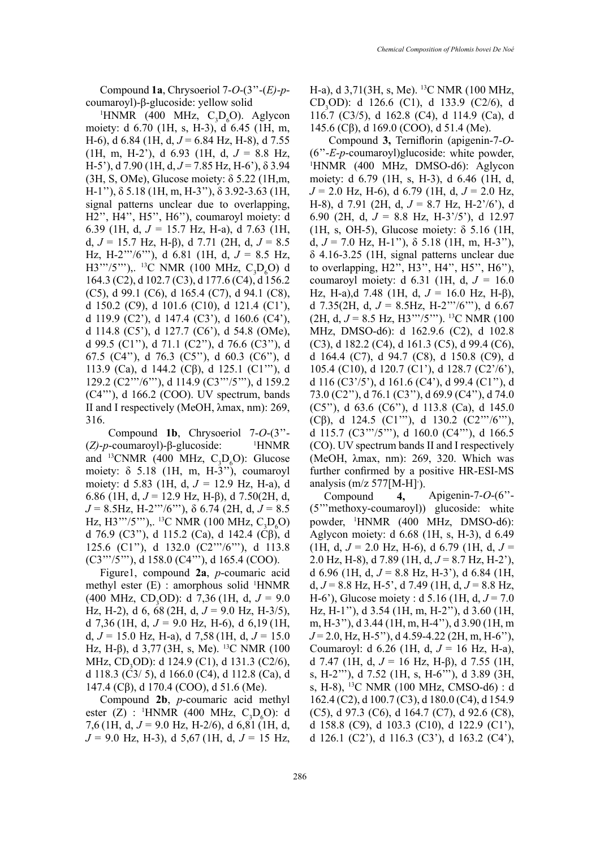Compound **1a**, Chrysoeriol 7-*O*-(3''-(*E)*-*p*coumaroyl)-β-glucoside: yellow solid

<sup>1</sup>HNMR (400 MHz,  $C_3D_6O$ ). Aglycon moiety: d 6.70 (1H, s, H-3), d 6.45 (1H, m, H-6), d 6.84 (1H, d, *J* = 6.84 Hz, H-8), d 7.55 (1H, m, H-2'), d 6.93 (1H, d, *J* = 8.8 Hz, H-5'), d 7.90 (1H, d, *J* = 7.85 Hz, H-6'), δ 3.94 (3H, S, OMe), Glucose moiety: δ 5.22 (1H,m, H-1''), δ 5.18 (1H, m, H-3''), δ 3.92-3.63 (1H, signal patterns unclear due to overlapping, H2'', H4'', H5'', H6''), coumaroyl moiety: d 6.39 (1H, d, *J =* 15.7 Hz, H-a), d 7.63 (1H, d, *J* = 15.7 Hz, H-β), d 7.71 (2H, d, *J* = 8.5 Hz, H-2'''/6'''), d 6.81 (1H, d, *J* = 8.5 Hz, H3'''/5'''),. <sup>13</sup>C NMR (100 MHz, C<sub>3</sub>D<sub>6</sub>O) d 164.3 (C2), d 102.7 (C3), d 177.6 (C4), d 156.2 (C5), d 99.1 (C6), d 165.4 (C7), d 94.1 (C8), d 150.2 (C9), d 101.6 (C10), d 121.4 (C1'), d 119.9 (C2'), d 147.4 (C3'), d 160.6 (C4'), d 114.8 (C5'), d 127.7 (C6'), d 54.8 (OMe), d 99.5 (C1''), d 71.1 (C2''), d 76.6 (C3''), d 67.5 (C4''), d 76.3 (C5''), d 60.3 (C6''), d 113.9 (Ca), d 144.2 (Cβ), d 125.1 (C1'''), d 129.2 (C2'''/6'''), d 114.9 (C3'''/5'''), d 159.2 (C4'''), d 166.2 (COO). UV spectrum, bands II and I respectively (MeOH, λmax, nm): 269, 316.

 Compound **1b**, Chrysoeriol 7-*O*-(3''- (*Z)*-*p*-coumaroyl)-β-glucoside: <sup>1</sup> HNMR and <sup>13</sup>CNMR (400 MHz,  $C_3D_6O$ ): Glucose moiety:  $\delta$  5.18 (1H, m, H-3"), coumaroyl moiety: d 5.83 (1H, d, *J =* 12.9 Hz, H-a), d 6.86 (1H, d, *J* = 12.9 Hz, H-β), d 7.50(2H, d, *J* = 8.5Hz, H-2'''/6'''), δ 6.74 (2H, d, *J* = 8.5 Hz, H3'''/5'''),. <sup>13</sup>C NMR (100 MHz, C<sub>3</sub>D<sub>6</sub>O) d 76.9 (C3"), d 115.2 (Ca), d 142.4 (Cβ), d 125.6 (C1''), d 132.0 (C2'''/6'''), d 113.8 (C3'''/5'''), d 158.0 (C4'''), d 165.4 (COO).

Figure1, compound **2a**, *p*-coumaric acid methyl ester (E) : amorphous solid <sup>1</sup>HNMR  $(400 \text{ MHz}, \text{CD}_3\text{OD})$ : d 7,36 (1H, d,  $J = 9.0$ Hz, H-2), d 6, 68 (2H, d, *J* = 9.0 Hz, H-3/5), d 7,36 (1H, d,  $J = 9.0$  Hz, H-6), d 6,19 (1H, d,  $J = 15.0$  Hz, H-a), d  $7.58$  (1H, d,  $J = 15.0$ Hz, H-β), d  $3,77$  (3H, s, Me). <sup>13</sup>C NMR (100 MHz, CD<sub>3</sub>OD): d 124.9 (C1), d 131.3 (C2/6), d 118.3 (C3/ 5), d 166.0 (C4), d 112.8 (Ca), d 147.4 (Cβ), d 170.4 (COO), d 51.6 (Me).

Compound **2b**, *p*-coumaric acid methyl ester (Z) : <sup>1</sup>HNMR (400 MHz, C<sub>3</sub>D<sub>6</sub>O): d 7,6 (1H, d,  $J = 9.0$  Hz, H-2/6), d 6,81 (1H, d, *J* = 9.0 Hz, H-3), d 5,67 (1H, d, *J* = 15 Hz,

H-a), d 3,71(3H, s, Me). 13C NMR (100 MHz, CD<sub>3</sub>OD): d 126.6 (C1), d 133.9 (C2/6), d 116.7 (C3/5), d 162.8 (C4), d 114.9 (Ca), d 145.6 (Cβ), d 169.0 (COO), d 51.4 (Me).

 Compound **3,** Terniflorin (apigenin-7-*O*- (6''-*E-p*-coumaroyl)glucoside: white powder, 1 HNMR (400 MHz, DMSO-d6): Aglycon moiety: d 6.79 (1H, s, H-3), d 6.46 (1H, d, *J* = 2.0 Hz, H-6), d 6.79 (1H, d, *J* = 2.0 Hz, H-8), d 7.91 (2H, d, *J* = 8.7 Hz, H-2'/6'), d 6.90 (2H, d, *J* = 8.8 Hz, H-3'/5'), d 12.97 (1H, s, OH-5), Glucose moiety:  $\delta$  5.16 (1H, d,  $J = 7.0$  Hz, H-1"),  $\delta$  5.18 (1H, m, H-3"), δ 4.16-3.25 (1H, signal patterns unclear due to overlapping, H2'', H3'', H4'', H5'', H6''), coumaroyl moiety: d 6.31 (1H, d, *J =* 16.0 Hz, H-a),d 7.48 (1H, d, *J* = 16.0 Hz, H-β), d 7.35(2H, d,  $J = 8.5$ Hz, H-2"'/6"'), d 6.67 (2H, d, *J* = 8.5 Hz, H3'''/5'''). 13C NMR (100 MHz, DMSO-d6): d 162.9.6 (C2), d 102.8 (C3), d 182.2 (C4), d 161.3 (C5), d 99.4 (C6), d 164.4 (C7), d 94.7 (C8), d 150.8 (C9), d 105.4 (C10), d 120.7 (C1'), d 128.7 (C2'/6'), d 116 (C3'/5'), d 161.6 (C4'), d 99.4 (C1''), d 73.0 (C2''), d 76.1 (C3''), d 69.9 (C4''), d 74.0 (C5''), d 63.6 (C6''), d 113.8 (Ca), d 145.0 (Cβ), d 124.5 (C1'''), d 130.2 (C2'''/6'''), d 115.7 (C3'''/5'''), d 160.0 (C4'''), d 166.5 (CO). UV spectrum bands II and I respectively (MeOH, λmax, nm): 269, 320. Which was further confirmed by a positive HR-ESI-MS analysis (m/z 577[M-H]·).

Compound **4,** Apigenin-7-*O*-(6''- (5'''methoxy-coumaroyl)) glucoside: white powder, 1 HNMR (400 MHz, DMSO-d6): Aglycon moiety: d 6.68 (1H, s, H-3), d 6.49  $(1H, d, J = 2.0 Hz, H=6)$ , d 6.79  $(1H, d, J = 1)$ 2.0 Hz, H-8), d 7.89 (1H, d, *J* = 8.7 Hz, H-2'), d 6.96 (1H, d, *J* = 8.8 Hz, H-3'), d 6.84 (1H, d,  $J = 8.8$  Hz, H-5', d 7.49 (1H, d,  $J = 8.8$  Hz, H-6'), Glucose moiety : d 5.16 (1H, d, *J* = 7.0 Hz, H-1''), d 3.54 (1H, m, H-2''), d 3.60 (1H, m, H-3''), d 3.44 (1H, m, H-4''), d 3.90 (1H, m *J* = 2.0, Hz, H-5''), d 4.59-4.22 (2H, m, H-6''), Coumaroyl: d 6.26 (1H, d, *J* = 16 Hz, H-a), d 7.47 (1H, d, *J* = 16 Hz, H-β), d 7.55 (1H, s, H-2'''), d 7.52 (1H, s, H-6'''), d 3.89 (3H, s, H-8), 13C NMR (100 MHz, CMSO-d6) : d 162.4 (C2), d 100.7 (C3), d 180.0 (C4), d 154.9 (C5), d 97.3 (C6), d 164.7 (C7), d 92.6 (C8), d 158.8 (C9), d 103.3 (C10), d 122.9 (C1'), d 126.1 (C2'), d 116.3 (C3'), d 163.2 (C4'),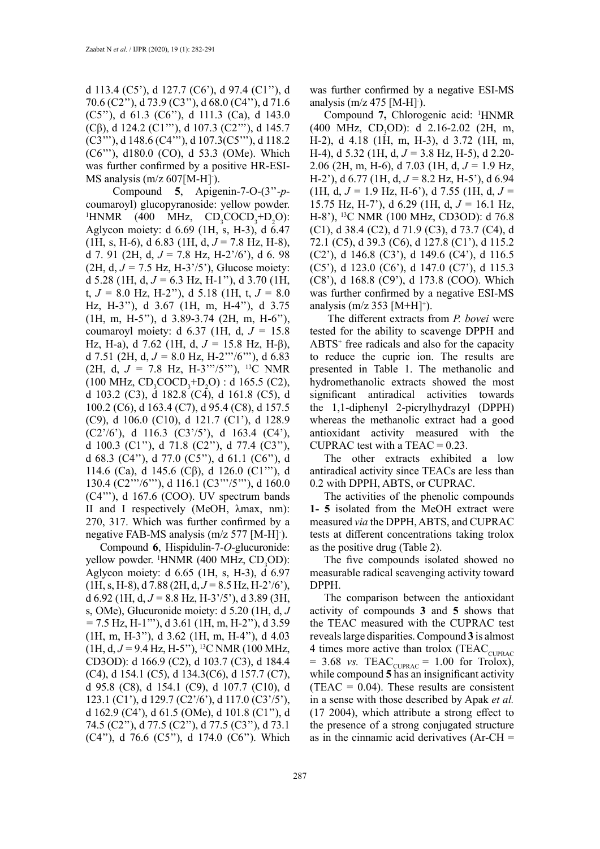d 113.4 (C5'), d 127.7 (C6'), d 97.4 (C1''), d 70.6 (C2''), d 73.9 (C3''), d 68.0 (C4''), d 71.6 (C5''), d 61.3 (C6''), d 111.3 (Ca), d 143.0 (Cβ), d 124.2 (C1'''), d 107.3 (C2'''), d 145.7 (C3'''), d 148.6 (C4'''), d 107.3(C5'''), d 118.2 (C6'''), d180.0 (CO), d 53.3 (OMe). Which was further confirmed by a positive HR-ESI-MS analysis (m/z 607[M-H]·).

 Compound **5**, Apigenin-7-O-(3''-*p*coumaroyl) glucopyranoside: yellow powder. <sup>1</sup>HNMR (400 MHz,  $CD_3COCD_3+D_2O$ ): Aglycon moiety: d  $6.69$  (1H, s, H-3), d  $6.47$  $(1H, s, H-6), d \, 6.83 \, (1H, d, J = 7.8 \, Hz, H-8),$ d 7. 91 (2H, d, *J* = 7.8 Hz, H-2'/6'), d 6. 98 (2H, d, *J =* 7.5 Hz, H-3'/5'), Glucose moiety: d 5.28 (1H, d, *J =* 6.3 Hz, H-1''), d 3.70 (1H, t, *J =* 8.0 Hz, H-2''), d 5.18 (1H, t, *J =* 8.0 Hz, H-3''), d 3.67 (1H, m, H-4''), d 3.75 (1H, m, H-5''), d 3.89-3.74 (2H, m, H-6''), coumaroyl moiety: d 6.37 (1H, d, *J =* 15.8 Hz, H-a), d 7.62 (1H, d, *J =* 15.8 Hz, H-β), d 7.51 (2H, d,  $J = 8.0$  Hz, H-2<sup>''</sup>'/6<sup>'''</sup>), d 6.83 (2H, d,  $J = 7.8$  Hz, H-3<sup>''</sup>'/5<sup>'''</sup>), <sup>13</sup>C NMR  $(100 \text{ MHz}, \text{CD}_3\text{COCD}_3 + \text{D}_2\text{O})$ : d 165.5 (C2), d 103.2 (C3), d 182.8 (C4), d 161.8 (C5), d 100.2 (C6), d 163.4 (C7), d 95.4 (C8), d 157.5 (C9), d 106.0 (C10), d 121.7 (C1'), d 128.9 (C2'/6'), d 116.3 (C3'/5'), d 163.4 (C4'), d 100.3 (C1''), d 71.8 (C2''), d 77.4 (C3''), d 68.3 (C4''), d 77.0 (C5''), d 61.1 (C6''), d 114.6 (Ca), d 145.6 (Cβ), d 126.0 (C1'''), d 130.4 (C2'''/6'''), d 116.1 (C3'''/5'''), d 160.0 (C4'''), d 167.6 (COO). UV spectrum bands II and I respectively (MeOH, λmax, nm): 270, 317. Which was further confirmed by a negative FAB-MS analysis (m/z 577 [M-H] ).

Compound **6**, Hispidulin-7-*O*-glucuronide: yellow powder. <sup>1</sup>HNMR (400 MHz, CD<sub>3</sub>OD): Aglycon moiety: d 6.65 (1H, s, H-3), d 6.97  $(H, s, H-8), d7.88$  (2H,  $d, J = 8.5$  Hz,  $H-2<sup>3</sup>/6$ ), d 6.92 (1H, d, *J =* 8.8 Hz, H-3'/5'), d 3.89 (3H, s, OMe), Glucuronide moiety: d 5.20 (1H, d, *J =* 7.5 Hz, H-1'''), d 3.61 (1H, m, H-2''), d 3.59 (1H, m, H-3''), d 3.62 (1H, m, H-4''), d 4.03 (1H, d, *J =* 9.4 Hz, H-5''), 13C NMR (100 MHz, CD3OD): d 166.9 (C2), d 103.7 (C3), d 184.4 (C4), d 154.1 (C5), d 134.3(C6), d 157.7 (C7), d 95.8 (C8), d 154.1 (C9), d 107.7 (C10), d 123.1 (C1'), d 129.7 (C2'/6'), d 117.0 (C3'/5'), d 162.9 (C4'), d 61.5 (OMe), d 101.8 (C1''), d 74.5 (C2''), d 77.5 (C2''), d 77.5 (C3''), d 73.1 (C4''), d 76.6 (C5''), d 174.0 (C6''). Which

was further confirmed by a negative ESI-MS analysis  $(m/z 475 [M-H]$ <sup>-</sup>).

Compound **7,** Chlorogenic acid: 1 HNMR  $(400 \text{ MHz}, \text{ CD}_3\text{OD})$ : d 2.16-2.02 (2H, m, H-2), d 4.18 (1H, m, H-3), d 3.72 (1H, m, H-4), d 5.32 (1H, d, *J =* 3.8 Hz, H-5), d 2.20- 2.06 (2H, m, H-6), d 7.03 (1H, d, *J =* 1.9 Hz, H-2'), d 6.77 (1H, d, *J =* 8.2 Hz, H-5'), d 6.94  $(1H, d, J = 1.9$  Hz, H-6<sup>'</sup>), d 7.55 (1H, d,  $J =$ 15.75 Hz, H-7'), d 6.29 (1H, d, *J =* 16.1 Hz, H-8'), 13C NMR (100 MHz, CD3OD): d 76.8 (C1), d 38.4 (C2), d 71.9 (C3), d 73.7 (C4), d 72.1 (C5), d 39.3 (C6), d 127.8 (C1'), d 115.2 (C2'), d 146.8 (C3'), d 149.6 (C4'), d 116.5 (C5'), d 123.0 (C6'), d 147.0 (C7'), d 115.3 (C8'), d 168.8 (C9'), d 173.8 (COO). Which was further confirmed by a negative ESI-MS analysis (m/z 353 [M+H]<sup>+</sup>).

 The different extracts from *P. bovei* were tested for the ability to scavenge DPPH and ABTS+ free radicals and also for the capacity to reduce the cupric ion. The results are presented in Table 1. The methanolic and hydromethanolic extracts showed the most significant antiradical activities towards the 1,1-diphenyl 2-picrylhydrazyl (DPPH) whereas the methanolic extract had a good antioxidant activity measured with the CUPRAC test with a TEAC =  $0.23$ .

The other extracts exhibited a low antiradical activity since TEACs are less than 0.2 with DPPH, ABTS, or CUPRAC.

The activities of the phenolic compounds **1- 5** isolated from the MeOH extract were measured *via* the DPPH, ABTS, and CUPRAC tests at different concentrations taking trolox as the positive drug (Table 2).

The five compounds isolated showed no measurable radical scavenging activity toward DPPH.

The comparison between the antioxidant activity of compounds **3** and **5** shows that the TEAC measured with the CUPRAC test reveals large disparities. Compound **3** is almost 4 times more active than trolox (TEAC<sub>CUPRAC</sub>  $= 3.68$  *vs.* TEAC<sub>CUPRAC</sub>  $= 1.00$  for Trolox), while compound **5** has an insignificant activity (TEAC =  $0.04$ ). These results are consistent in a sense with those described by Apak *et al.* (17 2004), which attribute a strong effect to the presence of a strong conjugated structure as in the cinnamic acid derivatives (Ar-CH =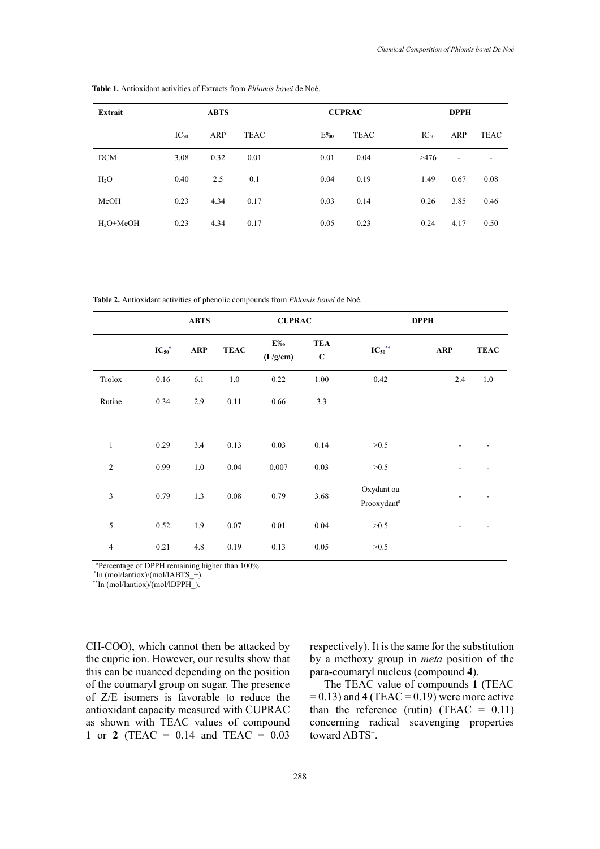| <b>ABTS</b>      |      |             | <b>CUPRAC</b> |             |                  | <b>DPPH</b>              |             |  |
|------------------|------|-------------|---------------|-------------|------------------|--------------------------|-------------|--|
| $\text{IC}_{50}$ | ARP  | <b>TEAC</b> | E%            | <b>TEAC</b> | $\text{IC}_{50}$ | ARP                      | <b>TEAC</b> |  |
| 3,08             | 0.32 | 0.01        | 0.01          | 0.04        | >476             | $\overline{\phantom{a}}$ | ۰           |  |
| 0.40             | 2.5  | 0.1         | 0.04          | 0.19        | 1.49             | 0.67                     | 0.08        |  |
| 0.23             | 4.34 | 0.17        | 0.03          | 0.14        | 0.26             | 3.85                     | 0.46        |  |
| 0.23             | 4.34 | 0.17        | 0.05          | 0.23        | 0.24             | 4.17                     | 0.50        |  |
|                  |      |             |               |             |                  |                          |             |  |

**Table 1.** Antioxidant activities of Extracts from *Phlomis bovei* de Noé. **Table 1.** Antioxidant activities of Extracts from *Phlomis bovei* de Noé.

**Table 2.** Antioxidant activities of phenolic compounds from *Phlomis bovei* de Noé. **Table 2.** Antioxidant activities of phenolic compounds from *Phlomis bovei* de Noé.

|                |               | <b>ABTS</b> |             | <b>CUPRAC</b>  |                           |                                       | <b>DPPH</b> |             |
|----------------|---------------|-------------|-------------|----------------|---------------------------|---------------------------------------|-------------|-------------|
|                | ${IC_{50}}^*$ | <b>ARP</b>  | <b>TEAC</b> | E‰<br>(L/g/cm) | <b>TEA</b><br>$\mathbf C$ | ${IC_{50}}^{\ast\ast}$                | <b>ARP</b>  | <b>TEAC</b> |
| Trolox         | 0.16          | 6.1         | $1.0\,$     | 0.22           | 1.00                      | 0.42                                  | 2.4         | 1.0         |
| Rutine         | 0.34          | 2.9         | 0.11        | 0.66           | 3.3                       |                                       |             |             |
|                |               |             |             |                |                           |                                       |             |             |
| $\mathbf{1}$   | 0.29          | 3.4         | 0.13        | 0.03           | 0.14                      | >0.5                                  |             |             |
| $\overline{2}$ | 0.99          | 1.0         | 0.04        | 0.007          | 0.03                      | >0.5                                  |             |             |
| 3              | 0.79          | 1.3         | $0.08\,$    | 0.79           | 3.68                      | Oxydant ou<br>Prooxydant <sup>a</sup> |             |             |
| 5              | 0.52          | 1.9         | $0.07\,$    | $0.01\,$       | 0.04                      | >0.5                                  |             |             |
| $\overline{4}$ | 0.21          | 4.8         | 0.19        | 0.13           | $0.05\,$                  | >0.5                                  |             |             |

<sup>a</sup>Percentage of DPPH.remaining higher than 100%.

 $\text{In (mol/lantiox)/(mol/lABTS} +).$ 

\*\*In (mol/lantiox)/(mol/lDPPH\_).

CH-COO), which cannot then be attacked by the cupric ion. However, our results show that this can be nuanced depending on the position of the coumaryl group on sugar. The presence of Z/E isomers is favorable to reduce the antioxidant capacity measured with CUPRAC as shown with TEAC values of compound **1** or **2** (TEAC = 0.14 and TEAC = 0.03

respectively). It is the same for the substitution by a methoxy group in *meta* position of the para-coumaryl nucleus (compound **4**).

The TEAC value of compounds **1** (TEAC  $= 0.13$ ) and **4** (TEAC  $= 0.19$ ) were more active than the reference (rutin) (TEAC =  $0.11$ ) concerning radical scavenging properties toward ABTS<sup>+</sup>.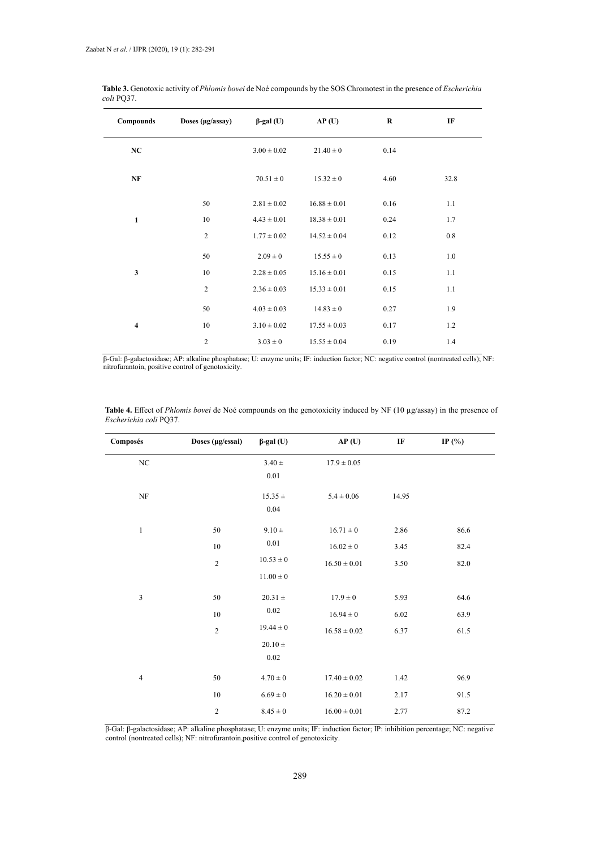| Compounds      | Doses (µg/assay) | $\beta$ -gal (U) | AP(U)            | $\bf R$ | IF      |
|----------------|------------------|------------------|------------------|---------|---------|
| NC             |                  | $3.00 \pm 0.02$  | $21.40 \pm 0$    | 0.14    |         |
| NF             |                  | $70.51 \pm 0$    | $15.32 \pm 0$    | 4.60    | 32.8    |
|                | 50               | $2.81 \pm 0.02$  | $16.88 \pm 0.01$ | 0.16    | 1.1     |
| $\mathbf{1}$   | 10               | $4.43 \pm 0.01$  | $18.38 \pm 0.01$ | 0.24    | 1.7     |
|                | $\overline{2}$   | $1.77 \pm 0.02$  | $14.52 \pm 0.04$ | 0.12    | $0.8\,$ |
|                | 50               | $2.09 \pm 0$     | $15.55 \pm 0$    | 0.13    | $1.0\,$ |
| $\mathbf{3}$   | 10               | $2.28 \pm 0.05$  | $15.16 \pm 0.01$ | 0.15    | 1.1     |
|                | $\overline{2}$   | $2.36 \pm 0.03$  | $15.33 \pm 0.01$ | 0.15    | 1.1     |
|                | 50               | $4.03 \pm 0.03$  | $14.83 \pm 0$    | 0.27    | 1.9     |
| $\overline{4}$ | $10\,$           | $3.10 \pm 0.02$  | $17.55 \pm 0.03$ | 0.17    | 1.2     |
|                | $\overline{c}$   | $3.03 \pm 0$     | $15.55 \pm 0.04$ | 0.19    | 1.4     |

| Table 3. Genotoxic activity of Phlomis bovei de Noé compounds by the SOS Chromotest in the presence of <i>Escherichia</i> |  |
|---------------------------------------------------------------------------------------------------------------------------|--|
| coli PO37.                                                                                                                |  |

β-Gal: β-galactosidase; AP: alkaline phosphatase; U: enzyme units; IF: induction factor; NC: negative control (nontreated cells); NF: nitrofurantoin, positive control of genotoxicity.

| Composés         | Doses (µg/essai) | $\beta$ -gal (U) | AP(U)            | $\rm I\!F$ | IP $(\% )$ |
|------------------|------------------|------------------|------------------|------------|------------|
| $_{\mathrm{NC}}$ |                  | $3.40 \pm$       | $17.9 \pm 0.05$  |            |            |
|                  |                  | 0.01             |                  |            |            |
| $\rm{NF}$        |                  | $15.35 \pm$      | $5.4 \pm 0.06$   | 14.95      |            |
|                  |                  | 0.04             |                  |            |            |
| $\mathbf{1}$     | 50               | $9.10 \pm$       | $16.71\pm0$      | 2.86       | 86.6       |
|                  | $10\,$           | $0.01\,$         | $16.02 \pm 0$    | 3.45       | 82.4       |
|                  | $\overline{c}$   | $10.53\pm0$      | $16.50\pm0.01$   | 3.50       | 82.0       |
|                  |                  | $11.00 \pm 0$    |                  |            |            |
| $\mathfrak{Z}$   | 50               | $20.31 \pm$      | $17.9 \pm 0$     | 5.93       | 64.6       |
|                  | $10\,$           | $0.02\,$         | $16.94\pm0$      | 6.02       | 63.9       |
|                  | $\sqrt{2}$       | $19.44 \pm 0$    | $16.58 \pm 0.02$ | 6.37       | 61.5       |
|                  |                  | $20.10 \pm$      |                  |            |            |
|                  |                  | $0.02\,$         |                  |            |            |
| $\overline{4}$   | 50               | $4.70\pm0$       | $17.40 \pm 0.02$ | 1.42       | 96.9       |
|                  | 10               | $6.69 \pm 0$     | $16.20 \pm 0.01$ | 2.17       | 91.5       |
|                  | $\overline{c}$   | $8.45 \pm 0$     | $16.00 \pm 0.01$ | 2.77       | 87.2       |

**Table 4.** Effect of *Phlomis bovei* de Noé compounds on the genotoxicity induced by NF (10 g/assay) in the presence of *Escherichia coli* PQ37. *Escherichia coli* PQ37.**Table 4.** Effect of *Phlomis bovei* de Noé compounds on the genotoxicity induced by NF (10 µg/assay) in the presence of

β-Gal: β-galactosidase; AP: alkaline phosphatase; U: enzyme units; IF: induction factor; IP: inhibition percentage; NC: negative control (nontreated cells); NF: nitrofurantoin,positive control of genotoxicity.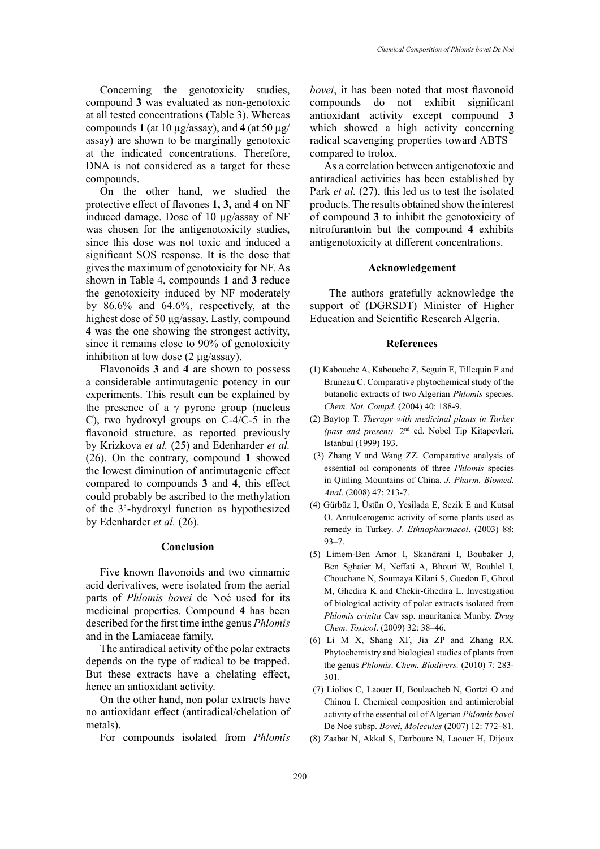Concerning the genotoxicity studies, compound **3** was evaluated as non-genotoxic at all tested concentrations (Table 3). Whereas compounds  $1$  (at 10  $\mu$ g/assay), and  $4$  (at 50  $\mu$ g/ assay) are shown to be marginally genotoxic at the indicated concentrations. Therefore, DNA is not considered as a target for these compounds.

On the other hand, we studied the protective effect of flavones **1, 3,** and **4** on NF induced damage. Dose of  $10 \mu g/a$ ssay of NF was chosen for the antigenotoxicity studies, since this dose was not toxic and induced a significant SOS response. It is the dose that gives the maximum of genotoxicity for NF. As shown in Table 4, compounds **1** and **3** reduce the genotoxicity induced by NF moderately by 86.6% and 64.6%, respectively, at the highest dose of 50 μg/assay. Lastly, compound **4** was the one showing the strongest activity, since it remains close to 90% of genotoxicity inhibition at low dose  $(2 \mu g /$ assay).

Flavonoids **3** and **4** are shown to possess a considerable antimutagenic potency in our experiments. This result can be explained by the presence of a  $\gamma$  pyrone group (nucleus C), two hydroxyl groups on C-4/C-5 in the flavonoid structure, as reported previously by Krizkova *et al.* (25) and Edenharder *et al.* (26). On the contrary, compound **1** showed the lowest diminution of antimutagenic effect compared to compounds **3** and **4**, this effect could probably be ascribed to the methylation of the 3'-hydroxyl function as hypothesized by Edenharder *et al.* (26).

## **Conclusion**

Five known flavonoids and two cinnamic acid derivatives, were isolated from the aerial parts of *Phlomis bovei* de Noé used for its medicinal properties. Compound **4** has been described for the first time inthe genus *Phlomis* and in the Lamiaceae family.

The antiradical activity of the polar extracts depends on the type of radical to be trapped. But these extracts have a chelating effect, hence an antioxidant activity.

On the other hand, non polar extracts have no antioxidant effect (antiradical/chelation of metals).

For compounds isolated from *Phlomis* 

*bovei*, it has been noted that most flavonoid compounds do not exhibit significant antioxidant activity except compound **3** which showed a high activity concerning radical scavenging properties toward ABTS+ compared to trolox.

As a correlation between antigenotoxic and antiradical activities has been established by Park *et al.* (27), this led us to test the isolated products. The results obtained show the interest of compound **3** to inhibit the genotoxicity of nitrofurantoin but the compound **4** exhibits antigenotoxicity at different concentrations.

## **Acknowledgement**

 The authors gratefully acknowledge the support of (DGRSDT) Minister of Higher Education and Scientific Research Algeria.

### **References**

- (1) Kabouche A, Kabouche Z, Seguin E, Tillequin F and Bruneau C. Comparative phytochemical study of the butanolic extracts of two Algerian *Phlomis* species. *Chem. Nat. Compd*. (2004) 40: 188-9.
- (2) Baytop T. *Therapy with medicinal plants in Turkey (past and present).* 2nd ed. Nobel Tip Kitapevleri, Istanbul (1999) 193.
- (3) [Zhang](http://www.refdoc.fr/?traduire=en&FormRechercher=submit&FormRechercher_Txt_Recherche_name_attr=auteursNom: %28YUAN ZHANG%29) Y and [Wang ZZ.](http://www.refdoc.fr/?traduire=en&FormRechercher=submit&FormRechercher_Txt_Recherche_name_attr=auteursNom: %28WANG%29) Comparative analysis of essential oil components of three *Phlomis* species in Qinling Mountains of China. *J. Pharm. Biomed. Anal*. (2008) 47: 213-7.
- (4) Gürbüz I, Üstün O, Yesilada E, Sezik E and Kutsal O. Antiulcerogenic activity of some plants used as remedy in Turkey. *J. Ethnopharmacol*. (2003) 88: 93–7.
- (5) Limem-Ben Amor I, Skandrani I, Boubaker J, Ben Sghaier M, Neffati A, Bhouri W, Bouhlel I, Chouchane N, Soumaya Kilani S, Guedon E, Ghoul M, Ghedira K and Chekir-Ghedira L. Investigation of biological activity of polar extracts isolated from *Phlomis crinita* Cav ssp. mauritanica Munby. *Drug Chem. Toxicol*. (2009) 32: 38–46.
- (6) Li M X, Shang XF, Jia ZP and Zhang RX. Phytochemistry and biological studies of plants from the genus *Phlomis*. *Chem. Biodivers.* (2010) 7: 283- 301.
- (7) Liolios C, Laouer H, Boulaacheb N, Gortzi O and Chinou I. Chemical composition and antimicrobial activity of the essential oil of Algerian *Phlomis bovei* De Noe subsp. *Bovei*, *Molecules* (2007) 12: 772–81.
- (8) Zaabat N, Akkal S, Darboure N, Laouer H, Dijoux